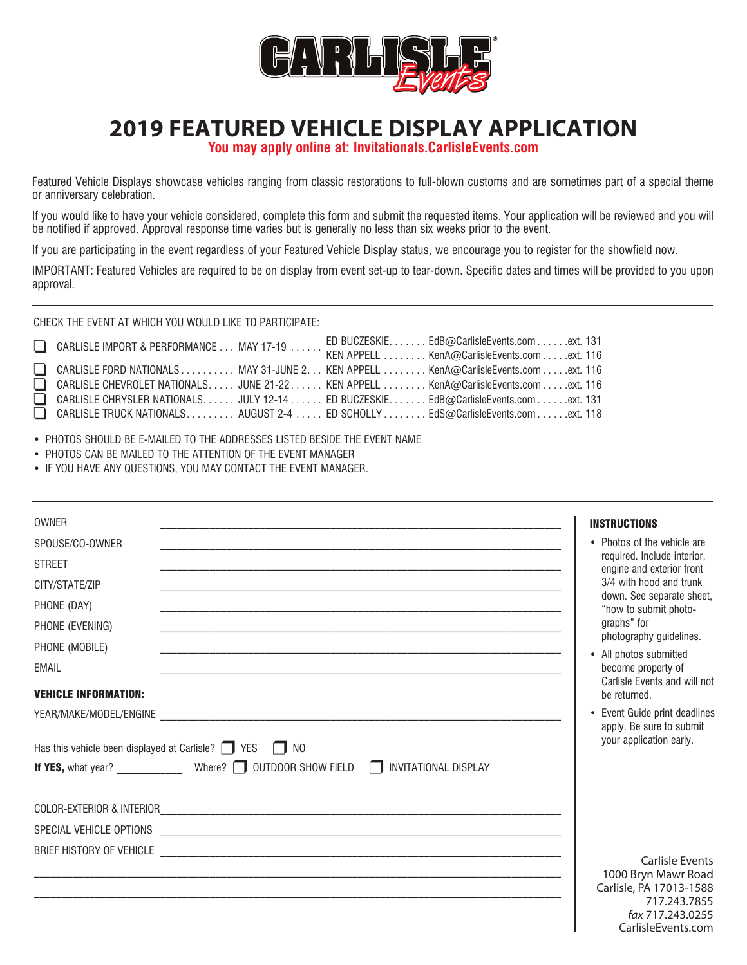

## **2019 FEATURED VEHICLE DISPLAY APPLICATION**

**You may apply online at: Invitationals.CarlisleEvents.com**

Featured Vehicle Displays showcase vehicles ranging from classic restorations to full-blown customs and are sometimes part of a special theme or anniversary celebration.

If you would like to have your vehicle considered, complete this form and submit the requested items. Your application will be reviewed and you will be notified if approved. Approval response time varies but is generally no less than six weeks prior to the event.

If you are participating in the event regardless of your Featured Vehicle Display status, we encourage you to register for the showfield now.

IMPORTANT: Featured Vehicles are required to be on display from event set-up to tear-down. Specific dates and times will be provided to you upon approval.

CHECK THE EVENT AT WHICH YOU WOULD LIKE TO PARTICIPATE:

| CARLISLE IMPORT & PERFORMANCE MAY 17-19                                             |  | ED BUCZESKIE. EdB@CarlisleEvents.com ext. 131 |  |
|-------------------------------------------------------------------------------------|--|-----------------------------------------------|--|
|                                                                                     |  | KEN APPELL KenA@CarlisleEvents.com ext. 116   |  |
| CARLISLE FORD NATIONALS MAY 31-JUNE 2. KEN APPELL KenA@CarlisleEvents.com ext. 116  |  |                                               |  |
| CARLISLE CHEVROLET NATIONALS JUNE 21-22 KEN APPELL  KenA@CarlisleEvents.comext. 116 |  |                                               |  |
| CARLISLE CHRYSLER NATIONALS JULY 12-14 ED BUCZESKIE EdB@CarlisleEvents.comext. 131  |  |                                               |  |
| □ CARLISLE TRUCK NATIONALS. AUGUST 2-4 ED SCHOLLY EdS@CarlisleEvents.com ext. 118   |  |                                               |  |

• PHOTOS SHOULD BE E-MAILED TO THE ADDRESSES LISTED BESIDE THE EVENT NAME

- PHOTOS CAN BE MAILED TO THE ATTENTION OF THE EVENT MANAGER
- IF YOU HAVE ANY QUESTIONS, YOU MAY CONTACT THE EVENT MANAGER.

| <b>OWNER</b>                                                                                                   | <b>INSTRUCTIONS</b>                                                                                                                 |
|----------------------------------------------------------------------------------------------------------------|-------------------------------------------------------------------------------------------------------------------------------------|
| SPOUSE/CO-OWNER                                                                                                | • Photos of the vehicle are                                                                                                         |
| <b>STREET</b>                                                                                                  | required. Include interior,<br>engine and exterior front                                                                            |
| CITY/STATE/ZIP                                                                                                 | 3/4 with hood and trunk                                                                                                             |
| PHONE (DAY)                                                                                                    | down. See separate sheet,<br>"how to submit photo-                                                                                  |
| PHONE (EVENING)                                                                                                | graphs" for                                                                                                                         |
| PHONE (MOBILE)                                                                                                 | photography guidelines.<br>• All photos submitted                                                                                   |
| <b>EMAIL</b>                                                                                                   | become property of                                                                                                                  |
| <b>VEHICLE INFORMATION:</b>                                                                                    | Carlisle Events and will not<br>be returned.                                                                                        |
|                                                                                                                | • Event Guide print deadlines                                                                                                       |
| Has this vehicle been displayed at Carlisle? $\Box$ YES<br>$\Box$ NO<br><b>INVITATIONAL DISPLAY</b><br>$\perp$ | apply. Be sure to submit<br>your application early.                                                                                 |
|                                                                                                                |                                                                                                                                     |
|                                                                                                                |                                                                                                                                     |
|                                                                                                                |                                                                                                                                     |
|                                                                                                                | <b>Carlisle Events</b><br>1000 Bryn Mawr Road<br>Carlisle, PA 17013-1588<br>717.243.7855<br>fax 717.243.0255<br>Carlisle Events com |

*fax* 717.243.0255 CarlisleEvents.com